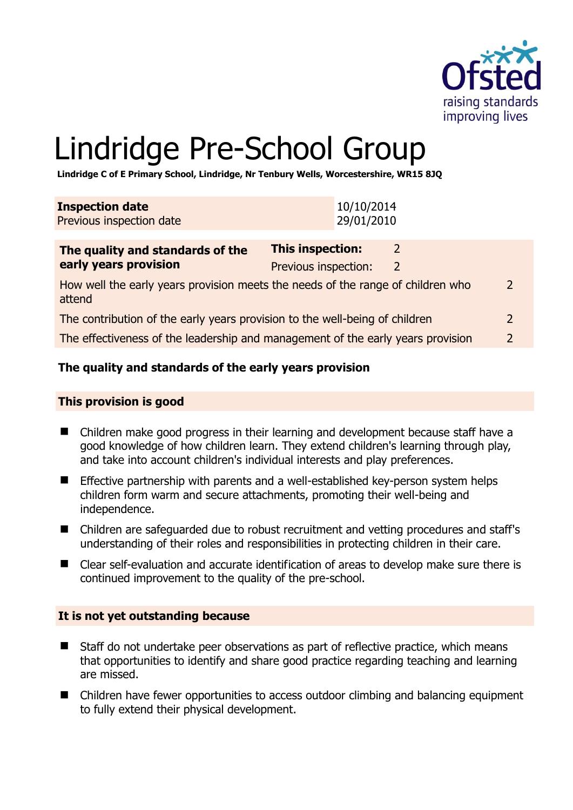

# Lindridge Pre-School Group

**Lindridge C of E Primary School, Lindridge, Nr Tenbury Wells, Worcestershire, WR15 8JQ** 

| <b>Inspection date</b><br>Previous inspection date                                        |                                          | 10/10/2014<br>29/01/2010 |                                |  |
|-------------------------------------------------------------------------------------------|------------------------------------------|--------------------------|--------------------------------|--|
| The quality and standards of the<br>early years provision                                 | This inspection:<br>Previous inspection: |                          | $\mathcal{L}$<br>$\mathcal{L}$ |  |
| How well the early years provision meets the needs of the range of children who<br>attend |                                          |                          |                                |  |
| The contribution of the early years provision to the well-being of children               |                                          |                          |                                |  |
| The effectiveness of the leadership and management of the early years provision           |                                          |                          |                                |  |

#### **The quality and standards of the early years provision**

#### **This provision is good**

- Children make good progress in their learning and development because staff have a good knowledge of how children learn. They extend children's learning through play, and take into account children's individual interests and play preferences.
- **Effective partnership with parents and a well-established key-person system helps** children form warm and secure attachments, promoting their well-being and independence.
- Children are safeguarded due to robust recruitment and vetting procedures and staff's understanding of their roles and responsibilities in protecting children in their care.
- Clear self-evaluation and accurate identification of areas to develop make sure there is continued improvement to the quality of the pre-school.

#### **It is not yet outstanding because**

- Staff do not undertake peer observations as part of reflective practice, which means that opportunities to identify and share good practice regarding teaching and learning are missed.
- Children have fewer opportunities to access outdoor climbing and balancing equipment to fully extend their physical development.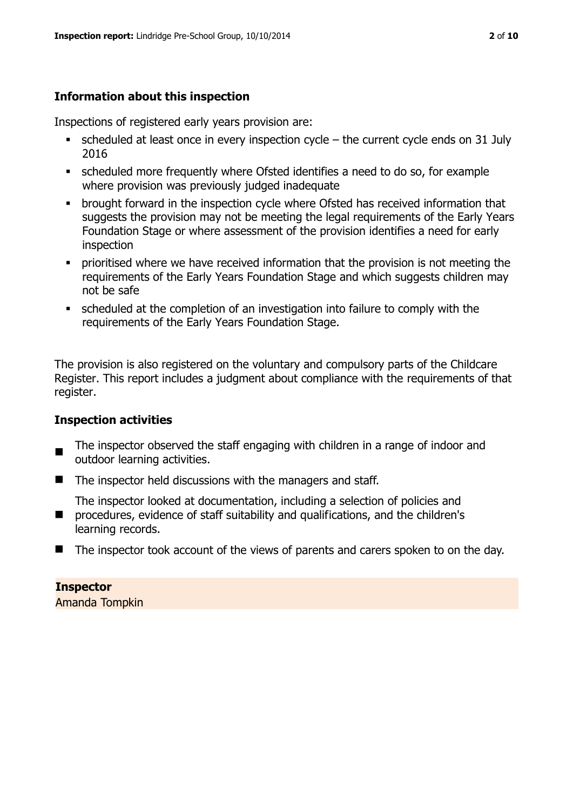#### **Information about this inspection**

Inspections of registered early years provision are:

- $\blacksquare$  scheduled at least once in every inspection cycle the current cycle ends on 31 July 2016
- scheduled more frequently where Ofsted identifies a need to do so, for example where provision was previously judged inadequate
- **•** brought forward in the inspection cycle where Ofsted has received information that suggests the provision may not be meeting the legal requirements of the Early Years Foundation Stage or where assessment of the provision identifies a need for early inspection
- **•** prioritised where we have received information that the provision is not meeting the requirements of the Early Years Foundation Stage and which suggests children may not be safe
- scheduled at the completion of an investigation into failure to comply with the requirements of the Early Years Foundation Stage.

The provision is also registered on the voluntary and compulsory parts of the Childcare Register. This report includes a judgment about compliance with the requirements of that register.

#### **Inspection activities**

- $\blacksquare$ The inspector observed the staff engaging with children in a range of indoor and outdoor learning activities.
- The inspector held discussions with the managers and staff.

 $\blacksquare$ The inspector looked at documentation, including a selection of policies and procedures, evidence of staff suitability and qualifications, and the children's learning records.

■ The inspector took account of the views of parents and carers spoken to on the day.

#### **Inspector**

Amanda Tompkin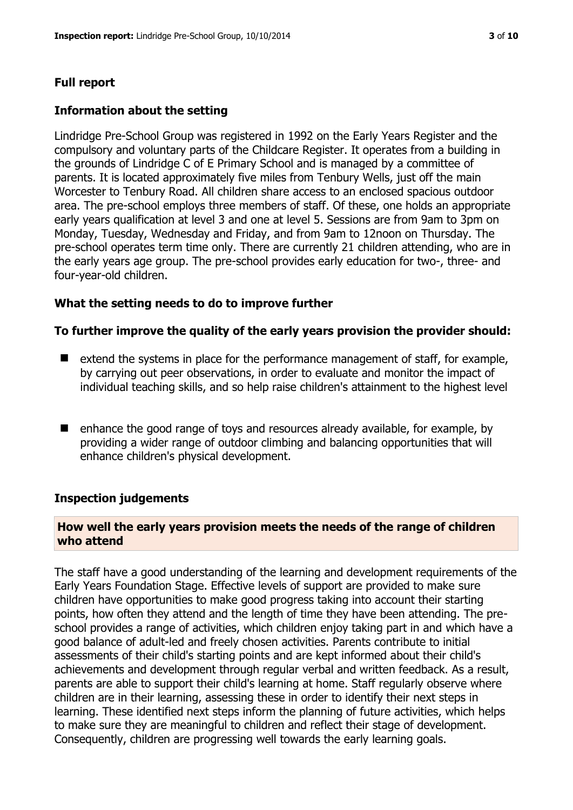### **Full report**

#### **Information about the setting**

Lindridge Pre-School Group was registered in 1992 on the Early Years Register and the compulsory and voluntary parts of the Childcare Register. It operates from a building in the grounds of Lindridge C of E Primary School and is managed by a committee of parents. It is located approximately five miles from Tenbury Wells, just off the main Worcester to Tenbury Road. All children share access to an enclosed spacious outdoor area. The pre-school employs three members of staff. Of these, one holds an appropriate early years qualification at level 3 and one at level 5. Sessions are from 9am to 3pm on Monday, Tuesday, Wednesday and Friday, and from 9am to 12noon on Thursday. The pre-school operates term time only. There are currently 21 children attending, who are in the early years age group. The pre-school provides early education for two-, three- and four-year-old children.

#### **What the setting needs to do to improve further**

#### **To further improve the quality of the early years provision the provider should:**

- $\blacksquare$  extend the systems in place for the performance management of staff, for example, by carrying out peer observations, in order to evaluate and monitor the impact of individual teaching skills, and so help raise children's attainment to the highest level
- enhance the good range of toys and resources already available, for example, by providing a wider range of outdoor climbing and balancing opportunities that will enhance children's physical development.

#### **Inspection judgements**

#### **How well the early years provision meets the needs of the range of children who attend**

The staff have a good understanding of the learning and development requirements of the Early Years Foundation Stage. Effective levels of support are provided to make sure children have opportunities to make good progress taking into account their starting points, how often they attend and the length of time they have been attending. The preschool provides a range of activities, which children enjoy taking part in and which have a good balance of adult-led and freely chosen activities. Parents contribute to initial assessments of their child's starting points and are kept informed about their child's achievements and development through regular verbal and written feedback. As a result, parents are able to support their child's learning at home. Staff regularly observe where children are in their learning, assessing these in order to identify their next steps in learning. These identified next steps inform the planning of future activities, which helps to make sure they are meaningful to children and reflect their stage of development. Consequently, children are progressing well towards the early learning goals.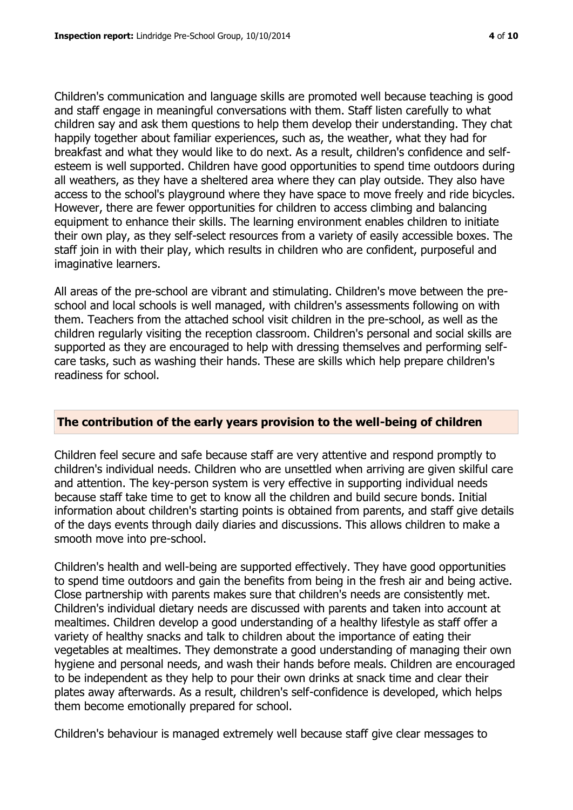Children's communication and language skills are promoted well because teaching is good and staff engage in meaningful conversations with them. Staff listen carefully to what children say and ask them questions to help them develop their understanding. They chat happily together about familiar experiences, such as, the weather, what they had for breakfast and what they would like to do next. As a result, children's confidence and selfesteem is well supported. Children have good opportunities to spend time outdoors during all weathers, as they have a sheltered area where they can play outside. They also have access to the school's playground where they have space to move freely and ride bicycles. However, there are fewer opportunities for children to access climbing and balancing equipment to enhance their skills. The learning environment enables children to initiate their own play, as they self-select resources from a variety of easily accessible boxes. The staff join in with their play, which results in children who are confident, purposeful and imaginative learners.

All areas of the pre-school are vibrant and stimulating. Children's move between the preschool and local schools is well managed, with children's assessments following on with them. Teachers from the attached school visit children in the pre-school, as well as the children regularly visiting the reception classroom. Children's personal and social skills are supported as they are encouraged to help with dressing themselves and performing selfcare tasks, such as washing their hands. These are skills which help prepare children's readiness for school.

#### **The contribution of the early years provision to the well-being of children**

Children feel secure and safe because staff are very attentive and respond promptly to children's individual needs. Children who are unsettled when arriving are given skilful care and attention. The key-person system is very effective in supporting individual needs because staff take time to get to know all the children and build secure bonds. Initial information about children's starting points is obtained from parents, and staff give details of the days events through daily diaries and discussions. This allows children to make a smooth move into pre-school.

Children's health and well-being are supported effectively. They have good opportunities to spend time outdoors and gain the benefits from being in the fresh air and being active. Close partnership with parents makes sure that children's needs are consistently met. Children's individual dietary needs are discussed with parents and taken into account at mealtimes. Children develop a good understanding of a healthy lifestyle as staff offer a variety of healthy snacks and talk to children about the importance of eating their vegetables at mealtimes. They demonstrate a good understanding of managing their own hygiene and personal needs, and wash their hands before meals. Children are encouraged to be independent as they help to pour their own drinks at snack time and clear their plates away afterwards. As a result, children's self-confidence is developed, which helps them become emotionally prepared for school.

Children's behaviour is managed extremely well because staff give clear messages to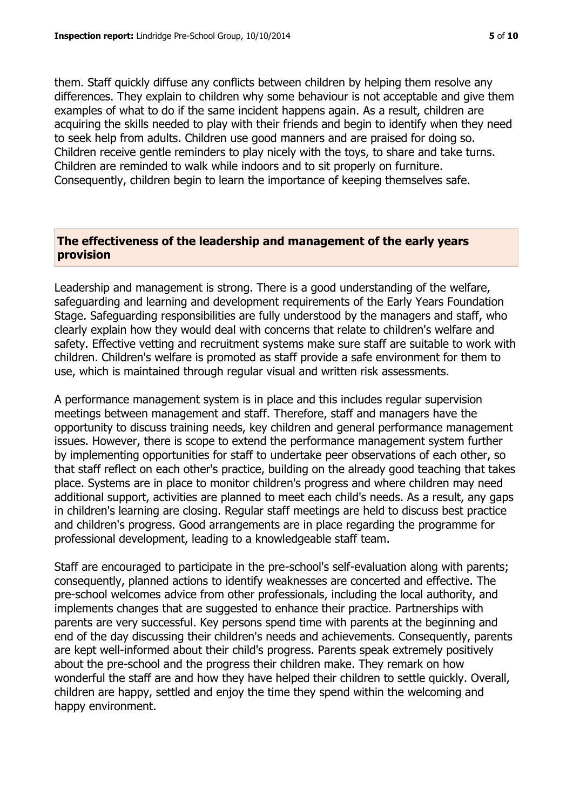them. Staff quickly diffuse any conflicts between children by helping them resolve any differences. They explain to children why some behaviour is not acceptable and give them examples of what to do if the same incident happens again. As a result, children are acquiring the skills needed to play with their friends and begin to identify when they need to seek help from adults. Children use good manners and are praised for doing so. Children receive gentle reminders to play nicely with the toys, to share and take turns. Children are reminded to walk while indoors and to sit properly on furniture. Consequently, children begin to learn the importance of keeping themselves safe.

#### **The effectiveness of the leadership and management of the early years provision**

Leadership and management is strong. There is a good understanding of the welfare, safeguarding and learning and development requirements of the Early Years Foundation Stage. Safeguarding responsibilities are fully understood by the managers and staff, who clearly explain how they would deal with concerns that relate to children's welfare and safety. Effective vetting and recruitment systems make sure staff are suitable to work with children. Children's welfare is promoted as staff provide a safe environment for them to use, which is maintained through regular visual and written risk assessments.

A performance management system is in place and this includes regular supervision meetings between management and staff. Therefore, staff and managers have the opportunity to discuss training needs, key children and general performance management issues. However, there is scope to extend the performance management system further by implementing opportunities for staff to undertake peer observations of each other, so that staff reflect on each other's practice, building on the already good teaching that takes place. Systems are in place to monitor children's progress and where children may need additional support, activities are planned to meet each child's needs. As a result, any gaps in children's learning are closing. Regular staff meetings are held to discuss best practice and children's progress. Good arrangements are in place regarding the programme for professional development, leading to a knowledgeable staff team.

Staff are encouraged to participate in the pre-school's self-evaluation along with parents; consequently, planned actions to identify weaknesses are concerted and effective. The pre-school welcomes advice from other professionals, including the local authority, and implements changes that are suggested to enhance their practice. Partnerships with parents are very successful. Key persons spend time with parents at the beginning and end of the day discussing their children's needs and achievements. Consequently, parents are kept well-informed about their child's progress. Parents speak extremely positively about the pre-school and the progress their children make. They remark on how wonderful the staff are and how they have helped their children to settle quickly. Overall, children are happy, settled and enjoy the time they spend within the welcoming and happy environment.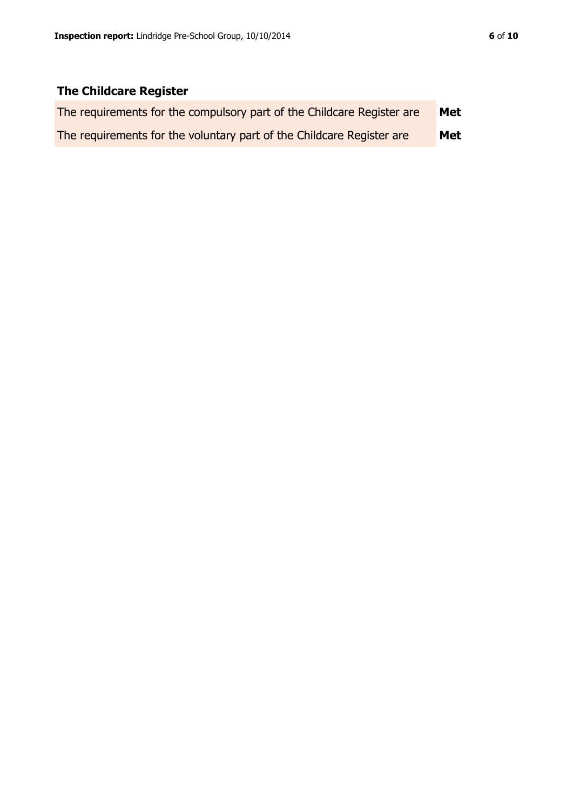## **The Childcare Register**

| The requirements for the compulsory part of the Childcare Register are | Met |
|------------------------------------------------------------------------|-----|
| The requirements for the voluntary part of the Childcare Register are  | Met |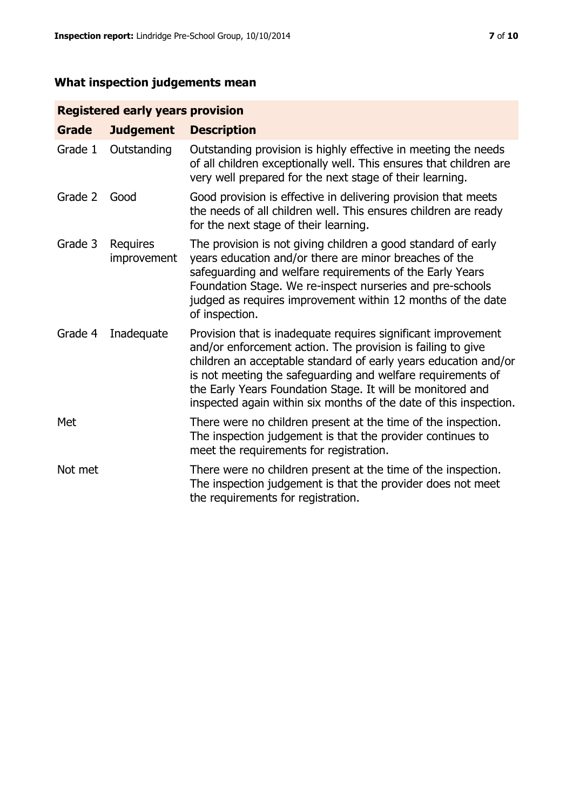# **What inspection judgements mean**

#### **Registered early years provision**

| <b>Grade</b> | <b>Judgement</b>               | <b>Description</b>                                                                                                                                                                                                                                                                                                                                                                                |
|--------------|--------------------------------|---------------------------------------------------------------------------------------------------------------------------------------------------------------------------------------------------------------------------------------------------------------------------------------------------------------------------------------------------------------------------------------------------|
| Grade 1      | Outstanding                    | Outstanding provision is highly effective in meeting the needs<br>of all children exceptionally well. This ensures that children are<br>very well prepared for the next stage of their learning.                                                                                                                                                                                                  |
| Grade 2      | Good                           | Good provision is effective in delivering provision that meets<br>the needs of all children well. This ensures children are ready<br>for the next stage of their learning.                                                                                                                                                                                                                        |
| Grade 3      | <b>Requires</b><br>improvement | The provision is not giving children a good standard of early<br>years education and/or there are minor breaches of the<br>safeguarding and welfare requirements of the Early Years<br>Foundation Stage. We re-inspect nurseries and pre-schools<br>judged as requires improvement within 12 months of the date<br>of inspection.                                                                 |
| Grade 4      | Inadequate                     | Provision that is inadequate requires significant improvement<br>and/or enforcement action. The provision is failing to give<br>children an acceptable standard of early years education and/or<br>is not meeting the safeguarding and welfare requirements of<br>the Early Years Foundation Stage. It will be monitored and<br>inspected again within six months of the date of this inspection. |
| Met          |                                | There were no children present at the time of the inspection.<br>The inspection judgement is that the provider continues to<br>meet the requirements for registration.                                                                                                                                                                                                                            |
| Not met      |                                | There were no children present at the time of the inspection.<br>The inspection judgement is that the provider does not meet<br>the requirements for registration.                                                                                                                                                                                                                                |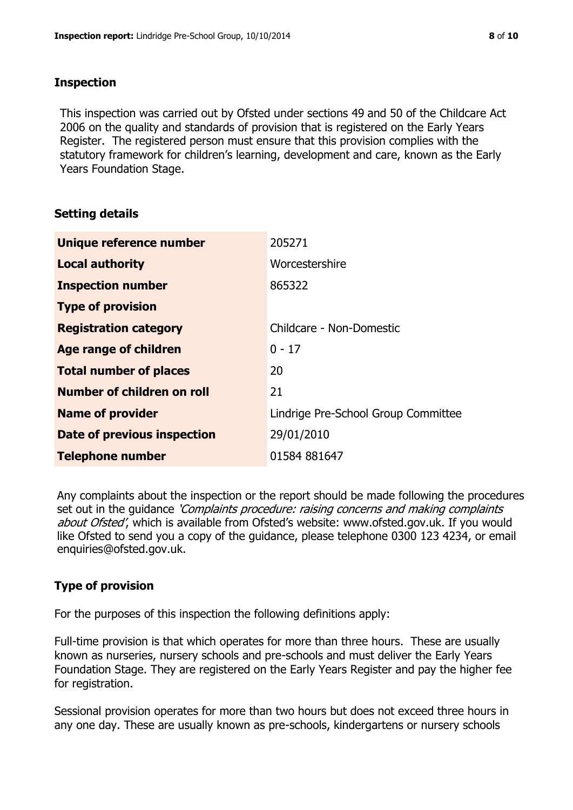#### **Inspection**

This inspection was carried out by Ofsted under sections 49 and 50 of the Childcare Act 2006 on the quality and standards of provision that is registered on the Early Years Register. The registered person must ensure that this provision complies with the statutory framework for children's learning, development and care, known as the Early Years Foundation Stage.

#### **Setting details**

| Unique reference number       | 205271                              |
|-------------------------------|-------------------------------------|
| <b>Local authority</b>        | Worcestershire                      |
| <b>Inspection number</b>      | 865322                              |
| <b>Type of provision</b>      |                                     |
| <b>Registration category</b>  | Childcare - Non-Domestic            |
| <b>Age range of children</b>  | $0 - 17$                            |
| <b>Total number of places</b> | 20                                  |
| Number of children on roll    | 21                                  |
| <b>Name of provider</b>       | Lindrige Pre-School Group Committee |
| Date of previous inspection   | 29/01/2010                          |
| <b>Telephone number</b>       | 01584 881647                        |

Any complaints about the inspection or the report should be made following the procedures set out in the guidance *'Complaints procedure: raising concerns and making complaints* about Ofsted', which is available from Ofsted's website: www.ofsted.gov.uk. If you would like Ofsted to send you a copy of the guidance, please telephone 0300 123 4234, or email enquiries@ofsted.gov.uk.

#### **Type of provision**

For the purposes of this inspection the following definitions apply:

Full-time provision is that which operates for more than three hours. These are usually known as nurseries, nursery schools and pre-schools and must deliver the Early Years Foundation Stage. They are registered on the Early Years Register and pay the higher fee for registration.

Sessional provision operates for more than two hours but does not exceed three hours in any one day. These are usually known as pre-schools, kindergartens or nursery schools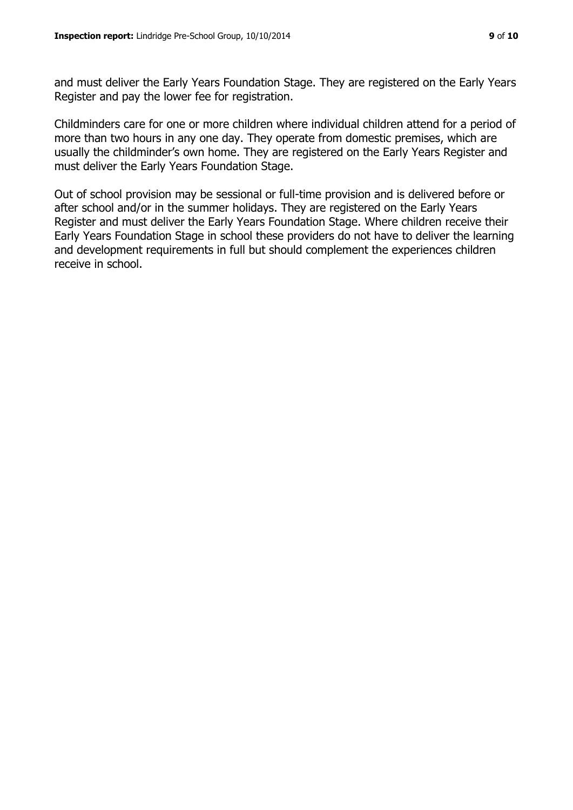and must deliver the Early Years Foundation Stage. They are registered on the Early Years Register and pay the lower fee for registration.

Childminders care for one or more children where individual children attend for a period of more than two hours in any one day. They operate from domestic premises, which are usually the childminder's own home. They are registered on the Early Years Register and must deliver the Early Years Foundation Stage.

Out of school provision may be sessional or full-time provision and is delivered before or after school and/or in the summer holidays. They are registered on the Early Years Register and must deliver the Early Years Foundation Stage. Where children receive their Early Years Foundation Stage in school these providers do not have to deliver the learning and development requirements in full but should complement the experiences children receive in school.